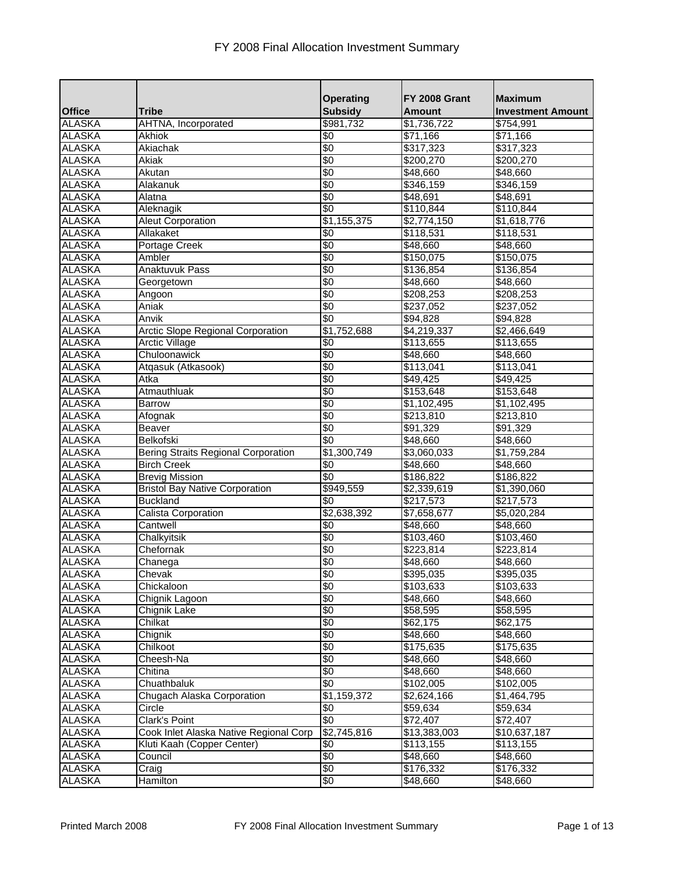|                  |                                            | <b>Operating</b>      | <b>FY 2008 Grant</b>    | <b>Maximum</b>           |
|------------------|--------------------------------------------|-----------------------|-------------------------|--------------------------|
| <b>Office</b>    | <b>Tribe</b>                               | <b>Subsidy</b>        | <b>Amount</b>           | <b>Investment Amount</b> |
| <b>ALASKA</b>    | AHTNA, Incorporated                        | \$981,732             | \$1,736,722             | \$754,991                |
| <b>ALASKA</b>    | Akhiok                                     | \$0                   | \$71,166                | \$71,166                 |
| <b>ALASKA</b>    | Akiachak                                   | $\sqrt[6]{}$          | \$317,323               | \$317,323                |
| <b>ALASKA</b>    | Akiak                                      | \$0                   | \$200,270               | \$200,270                |
| <b>ALASKA</b>    | Akutan                                     | $\sqrt[6]{}$          | \$48,660                | \$48,660                 |
| <b>ALASKA</b>    | Alakanuk                                   | $\sqrt{6}$            | \$346,159               | \$346,159                |
| <b>ALASKA</b>    | Alatna                                     | \$0                   | \$48,691                | \$48,691                 |
| <b>ALASKA</b>    | Aleknagik                                  | $\sqrt{6}$            | \$110,844               | \$110,844                |
| <b>ALASKA</b>    | <b>Aleut Corporation</b>                   | \$1,155,375           | \$2,774,150             | \$1,618,776              |
| <b>ALASKA</b>    | Allakaket                                  | \$0                   | \$118,531               | \$118,531                |
| <b>ALASKA</b>    | Portage Creek                              | \$0                   | \$48,660                | \$48,660                 |
| <b>ALASKA</b>    | Ambler                                     | \$0                   | \$150,075               | \$150,075                |
| <b>ALASKA</b>    | <b>Anaktuvuk Pass</b>                      | \$0                   | \$136,854               | \$136,854                |
| <b>ALASKA</b>    | Georgetown                                 | \$0                   | \$48,660                | $\sqrt{48,660}$          |
| <b>ALASKA</b>    | Angoon                                     | \$0                   | \$208,253               | \$208,253                |
| <b>ALASKA</b>    | Aniak                                      | \$0                   | \$237,052               | \$237,052                |
| <b>ALASKA</b>    | Anvik                                      | \$0                   | \$94,828                | \$94,828                 |
| <b>ALASKA</b>    | <b>Arctic Slope Regional Corporation</b>   | \$1,752,688           | \$4,219,337             | \$2,466,649              |
| <b>ALASKA</b>    | <b>Arctic Village</b>                      | $\frac{1}{3}$         | \$113,655               | \$113,655                |
| <b>ALASKA</b>    | Chuloonawick                               | \$0                   | \$48,660                | \$48,660                 |
| <b>ALASKA</b>    | Atgasuk (Atkasook)                         | \$0                   | \$113,041               | \$113,041                |
| <b>ALASKA</b>    | Atka                                       | $\sqrt{6}$            | \$49,425                | \$49,425                 |
| <b>ALASKA</b>    | Atmauthluak                                | $\sqrt[6]{}$          | \$153,648               | \$153,648                |
| <b>ALASKA</b>    | <b>Barrow</b>                              | \$0                   | \$1,102,495             | \$1,102,495              |
| <b>ALASKA</b>    | Afognak                                    | \$0                   | \$213,810               | \$213,810                |
| <b>ALASKA</b>    | Beaver                                     | \$0                   | \$91,329                | \$91,329                 |
| <b>ALASKA</b>    | Belkofski                                  | \$0                   | \$48,660                | \$48,660                 |
| <b>ALASKA</b>    | <b>Bering Straits Regional Corporation</b> | \$1,300,749           | \$3,060,033             | \$1,759,284              |
| <b>ALASKA</b>    | <b>Birch Creek</b>                         | $\sqrt[6]{}$          | \$48,660                | \$48,660                 |
| <b>ALASKA</b>    | <b>Brevig Mission</b>                      | $\sqrt{6}$            | \$186,822               | \$186,822                |
| <b>ALASKA</b>    | <b>Bristol Bay Native Corporation</b>      | $\overline{$949,559}$ | $\sqrt{2,}339,619$      | \$1,390,060              |
| <b>ALASKA</b>    | <b>Buckland</b>                            | \$0                   | \$217,573               | \$217,573                |
| <b>ALASKA</b>    | Calista Corporation                        | $\sqrt{2,638,392}$    | $\overline{$7,658,677}$ | \$5,020,284              |
| <b>ALASKA</b>    | Cantwell                                   | \$0                   | \$48,660                | \$48,660                 |
| <b>ALASKA</b>    | Chalkyitsik                                | $\sqrt{6}$            | \$103,460               | \$103,460                |
| <b>ALASKA</b>    | Chefornak                                  | $\sqrt[6]{30}$        | \$223,814               | \$223,814                |
| ALASKA<br>ALASKA | Chanega                                    | $\sqrt[6]{}$          | \$48,660                | \$48,660                 |
|                  | Chevak                                     | \$0                   | \$395,035               | \$395,035                |
| <b>ALASKA</b>    | Chickaloon                                 | \$0                   | \$103,633               | \$103,633                |
| <b>ALASKA</b>    | Chignik Lagoon                             | $\frac{1}{6}$         | \$48,660                | \$48,660                 |
| <b>ALASKA</b>    | <b>Chignik Lake</b>                        | \$0                   | \$58,595                | \$58,595                 |
| <b>ALASKA</b>    | Chilkat                                    | $\frac{1}{3}$         | \$62,175                | \$62,175                 |
| <b>ALASKA</b>    | Chignik                                    | \$0                   | \$48,660                | \$48,660                 |
| <b>ALASKA</b>    | Chilkoot                                   | \$0                   | $\overline{$}175,635$   | \$175,635                |
| <b>ALASKA</b>    | Cheesh-Na                                  | $\frac{1}{3}$         | \$48,660                | \$48,660                 |
| <b>ALASKA</b>    | Chitina                                    | $\frac{1}{6}$         | \$48,660                | \$48,660                 |
| <b>ALASKA</b>    | Chuathbaluk                                | $\frac{1}{6}$         | \$102,005               | \$102,005                |
| <b>ALASKA</b>    | <b>Chugach Alaska Corporation</b>          | \$1,159,372           | \$2,624,166             | \$1,464,795              |
| <b>ALASKA</b>    | Circle                                     | \$0                   | \$59,634                | \$59,634                 |
| <b>ALASKA</b>    | <b>Clark's Point</b>                       | \$0                   | \$72,407                | \$72,407                 |
| <b>ALASKA</b>    | Cook Inlet Alaska Native Regional Corp     | $\sqrt{2,745,816}$    | \$13,383,003            | \$10,637,187             |
| <b>ALASKA</b>    | Kluti Kaah (Copper Center)                 | \$0                   | \$113,155               | \$113,155                |
| <b>ALASKA</b>    | Council                                    | $\frac{1}{3}$         | \$48,660                | \$48,660                 |
| <b>ALASKA</b>    | Craig                                      | $\frac{1}{6}$         | \$176,332               | \$176,332                |
| <b>ALASKA</b>    | <b>Hamilton</b>                            | \$0                   | \$48,660                | \$48,660                 |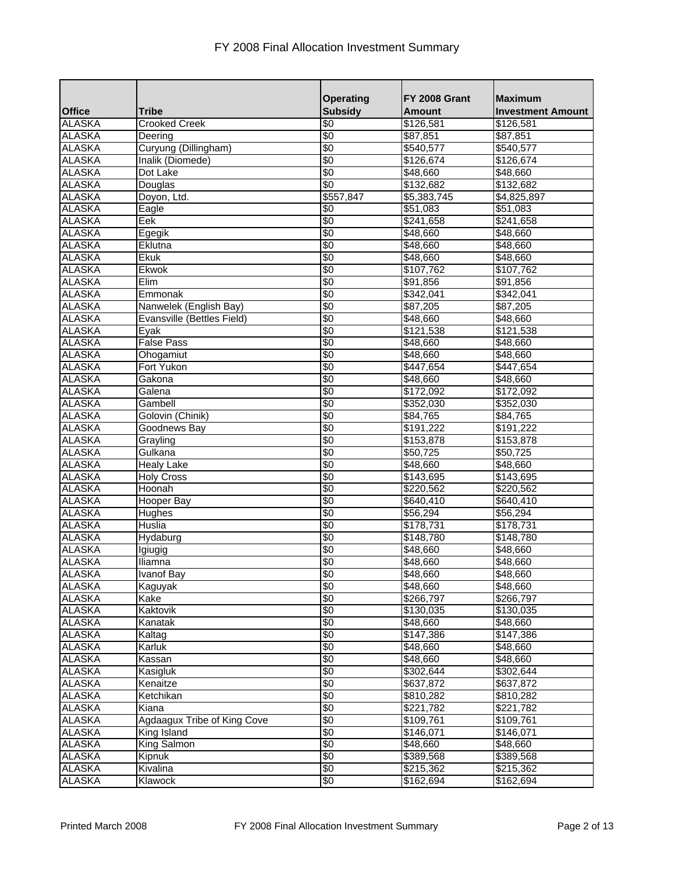|                  |                             | <b>Operating</b> | FY 2008 Grant   | <b>Maximum</b>           |
|------------------|-----------------------------|------------------|-----------------|--------------------------|
| <b>Office</b>    | <b>Tribe</b>                | <b>Subsidy</b>   | <b>Amount</b>   | <b>Investment Amount</b> |
| <b>ALASKA</b>    | <b>Crooked Creek</b>        | \$0              | \$126,581       | \$126,581                |
| <b>ALASKA</b>    | Deering                     | \$0              | \$87,851        | \$87,851                 |
| <b>ALASKA</b>    | Curyung (Dillingham)        | $\sqrt[6]{30}$   | \$540,577       | \$540,577                |
| <b>ALASKA</b>    | Inalik (Diomede)            | \$0              | \$126,674       | \$126,674                |
| <b>ALASKA</b>    | Dot Lake                    | $\sqrt[6]{30}$   | \$48,660        | \$48,660                 |
| <b>ALASKA</b>    | Douglas                     | \$0              | \$132,682       | \$132,682                |
| <b>ALASKA</b>    | Doyon, Ltd.                 | \$557,847        | \$5,383,745     | \$4,825,897              |
| <b>ALASKA</b>    | Eagle                       | $\sqrt[6]{30}$   | \$51,083        | \$51,083                 |
| <b>ALASKA</b>    | Eek                         | \$0              | \$241,658       | \$241,658                |
| <b>ALASKA</b>    | Egegik                      | $\sqrt{6}$       | \$48,660        | \$48,660                 |
| <b>ALASKA</b>    | Eklutna                     | $\sqrt[6]{30}$   | \$48,660        | \$48,660                 |
| <b>ALASKA</b>    | <b>Ekuk</b>                 | \$0              | \$48,660        | \$48,660                 |
| <b>ALASKA</b>    | Ekwok                       | \$0              | \$107,762       | \$107,762                |
| <b>ALASKA</b>    | Elim                        | \$0              | \$91,856        | \$91,856                 |
| <b>ALASKA</b>    | Emmonak                     | $\frac{1}{3}$    | \$342,041       | \$342,041                |
| <b>ALASKA</b>    | Nanwelek (English Bay)      | \$0              | \$87,205        | \$87,205                 |
| <b>ALASKA</b>    | Evansville (Bettles Field)  | \$0              | \$48,660        | \$48,660                 |
| <b>ALASKA</b>    | Eyak                        | \$0              | \$121,538       | \$121,538                |
| <b>ALASKA</b>    | <b>False Pass</b>           | \$0              | \$48,660        | \$48,660                 |
| <b>ALASKA</b>    | Ohogamiut                   | \$0              | \$48,660        | \$48,660                 |
| <b>ALASKA</b>    | Fort Yukon                  | \$0              | \$447,654       | \$447,654                |
| <b>ALASKA</b>    | Gakona                      | \$0              | \$48,660        | $\sqrt{48,660}$          |
| <b>ALASKA</b>    | Galena                      | $\sqrt[6]{}$     | \$172,092       | \$172,092                |
| <b>ALASKA</b>    | Gambell                     | $\sqrt[6]{30}$   | \$352,030       | \$352,030                |
| <b>ALASKA</b>    | Golovin (Chinik)            | \$0              | \$84,765        | \$84,765                 |
| <b>ALASKA</b>    |                             | \$0              |                 |                          |
| <b>ALASKA</b>    | Goodnews Bay                |                  | \$191,222       | \$191,222                |
|                  | Grayling                    | \$0              | \$153,878       | \$153,878                |
| <b>ALASKA</b>    | Gulkana                     | $\frac{1}{3}$    | \$50,725        | \$50,725                 |
| <b>ALASKA</b>    | <b>Healy Lake</b>           | \$0              | \$48,660        | \$48,660                 |
| <b>ALASKA</b>    | <b>Holy Cross</b>           | $\sqrt[6]{}$     | \$143,695       | \$143,695                |
| <b>ALASKA</b>    | Hoonah                      | $\frac{1}{3}$    | \$220,562       | \$220,562                |
| <b>ALASKA</b>    | <b>Hooper Bay</b>           | \$0              | \$640,410       | \$640,410                |
| <b>ALASKA</b>    | Hughes                      | 9                | \$56,294        | \$56,294                 |
| <b>ALASKA</b>    | <b>Huslia</b>               | \$0              | \$178,731       | \$178,731                |
| <b>ALASKA</b>    | Hydaburg                    | $\frac{1}{3}$    | \$148,780       | \$148,780                |
| <b>ALASKA</b>    | Igiugig                     | $\sqrt[6]{30}$   | \$48,660        | \$48,660                 |
| ALASKA<br>ALASKA | Iliamna                     | $\sqrt[6]{30}$   | \$48,660        | \$48,660                 |
|                  | <b>Ivanof Bay</b>           | \$0              | \$48,660        | \$48,660                 |
| <b>ALASKA</b>    | Kaguyak                     | \$0              | \$48,660        | \$48,660                 |
| <b>ALASKA</b>    | Kake                        | $\frac{1}{6}$    | \$266,797       | \$266,797                |
| <b>ALASKA</b>    | Kaktovik                    | \$0              | \$130,035       | \$130,035                |
| <b>ALASKA</b>    | Kanatak                     | $\frac{1}{3}$    | \$48,660        | \$48,660                 |
| <b>ALASKA</b>    | Kaltag                      | \$0              | \$147,386       | \$147,386                |
| <b>ALASKA</b>    | Karluk                      | \$0              | $\sqrt{48,660}$ | \$48,660                 |
| <b>ALASKA</b>    | Kassan                      | $\frac{1}{3}$    | \$48,660        | \$48,660                 |
| <b>ALASKA</b>    | Kasigluk                    | $\frac{1}{6}$    | \$302,644       | \$302,644                |
| <b>ALASKA</b>    | Kenaitze                    | $\frac{1}{6}$    | \$637,872       | \$637,872                |
| <b>ALASKA</b>    | Ketchikan                   | \$0              | \$810,282       | \$810,282                |
| <b>ALASKA</b>    | Kiana                       | $\frac{1}{3}$    | \$221,782       | \$221,782                |
| <b>ALASKA</b>    | Agdaagux Tribe of King Cove | \$0              | \$109,761       | \$109,761                |
| <b>ALASKA</b>    | King Island                 | \$0              | \$146,071       | \$146,071                |
| <b>ALASKA</b>    | King Salmon                 | \$0              | \$48,660        | \$48,660                 |
| <b>ALASKA</b>    | Kipnuk                      | $\frac{1}{6}$    | \$389,568       | \$389,568                |
| <b>ALASKA</b>    | Kivalina                    | $\frac{1}{6}$    | \$215,362       | \$215,362                |
| <b>ALASKA</b>    | Klawock                     | \$0              | \$162,694       | \$162,694                |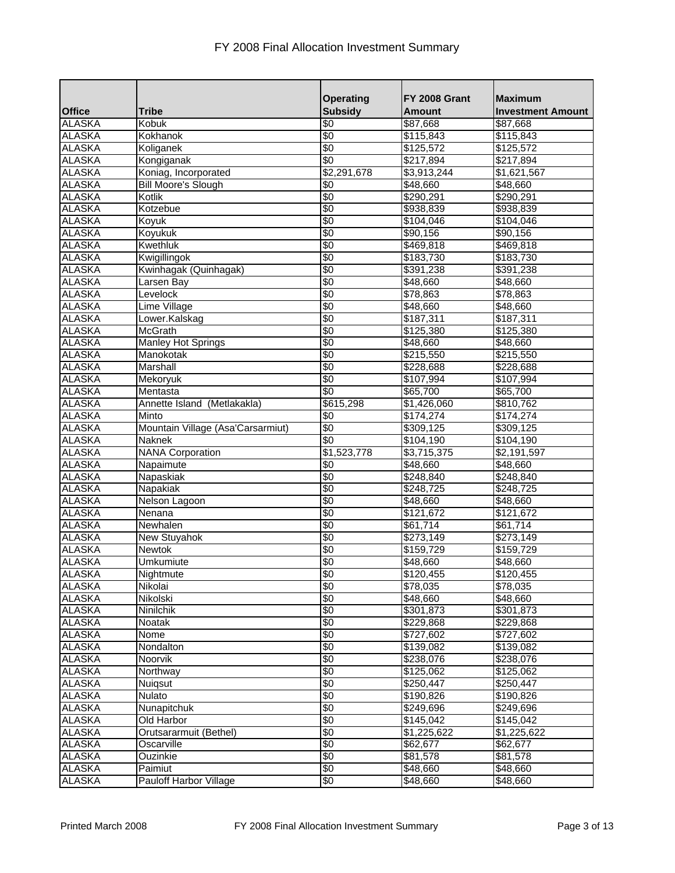|                                |                                   | <b>Operating</b>         | <b>FY 2008 Grant</b> | <b>Maximum</b>           |
|--------------------------------|-----------------------------------|--------------------------|----------------------|--------------------------|
| <b>Office</b>                  | <b>Tribe</b>                      | <b>Subsidy</b>           | <b>Amount</b>        | <b>Investment Amount</b> |
| <b>ALASKA</b>                  | Kobuk                             | \$0                      | \$87,668             | \$87,668                 |
| <b>ALASKA</b>                  | Kokhanok                          | \$0                      | \$115,843            | \$115,843                |
| <b>ALASKA</b>                  | Koliganek                         | \$0                      | \$125,572            | \$125,572                |
| <b>ALASKA</b>                  | Kongiganak                        | \$0                      | \$217,894            | \$217,894                |
| <b>ALASKA</b>                  | Koniag, Incorporated              | \$2,291,678              | \$3,913,244          | \$1,621,567              |
| <b>ALASKA</b>                  | <b>Bill Moore's Slough</b>        | \$0                      | \$48,660             | \$48,660                 |
| <b>ALASKA</b>                  | Kotlik                            | \$0                      | \$290,291            | \$290,291                |
| <b>ALASKA</b>                  | Kotzebue                          | \$0                      | \$938,839            | \$938,839                |
| <b>ALASKA</b>                  | Koyuk                             | \$0                      | \$104,046            | \$104,046                |
| <b>ALASKA</b>                  | Koyukuk                           | $\sqrt{6}$               | \$90,156             | \$90,156                 |
| <b>ALASKA</b>                  | <b>Kwethluk</b>                   | $\sqrt[6]{30}$           | \$469,818            | \$469,818                |
| <b>ALASKA</b>                  | Kwigillingok                      | \$0                      | \$183,730            | \$183,730                |
| <b>ALASKA</b>                  | Kwinhagak (Quinhagak)             | \$0                      | \$391,238            | $\overline{$}391,238$    |
| <b>ALASKA</b>                  | Larsen Bay                        | \$0                      | \$48,660             | \$48,660                 |
| <b>ALASKA</b>                  | Levelock                          | \$0                      | \$78,863             | \$78,863                 |
| <b>ALASKA</b>                  | <b>Lime Village</b>               | \$0                      | \$48,660             | \$48,660                 |
| <b>ALASKA</b>                  | Lower.Kalskag                     | \$0                      | \$187,311            | \$187,311                |
| <b>ALASKA</b>                  | <b>McGrath</b>                    | \$0                      | \$125,380            | \$125,380                |
| <b>ALASKA</b>                  | <b>Manley Hot Springs</b>         | $\frac{1}{3}$            | \$48,660             | \$48,660                 |
| <b>ALASKA</b>                  | Manokotak                         | \$0                      | \$215,550            | \$215,550                |
| <b>ALASKA</b>                  | Marshall                          | $\overline{\mathbf{60}}$ | \$228,688            | \$228,688                |
| <b>ALASKA</b>                  | Mekoryuk                          | \$0                      | \$107,994            | \$107,994                |
| <b>ALASKA</b>                  | Mentasta                          | \$0                      | \$65,700             | \$65,700                 |
| <b>ALASKA</b>                  | Annette Island (Metlakakla)       | \$615,298                |                      |                          |
| <b>ALASKA</b>                  | Minto                             | $\frac{1}{3}$            | \$1,426,060          | \$810,762                |
|                                |                                   | \$0                      | \$174,274            | \$174,274                |
| <b>ALASKA</b><br><b>ALASKA</b> | Mountain Village (Asa'Carsarmiut) | \$0                      | 309,125              | \$309,125                |
|                                | Naknek                            |                          | \$104,190            | \$104,190                |
| <b>ALASKA</b>                  | <b>NANA Corporation</b>           | \$1,523,778              | \$3,715,375          | \$2,191,597              |
| <b>ALASKA</b>                  | Napaimute                         | $\sqrt{6}$               | \$48,660             | \$48,660                 |
| <b>ALASKA</b>                  | Napaskiak                         | $\sqrt[6]{}$             | \$248,840            | \$248,840                |
| <b>ALASKA</b>                  | Napakiak                          | \$0                      | \$248,725            | \$248,725                |
| <b>ALASKA</b>                  | Nelson Lagoon                     | \$0                      | \$48,660             | \$48,660                 |
| <b>ALASKA</b>                  | Nenana                            | \$0                      | \$121,672            | \$121,672                |
| <b>ALASKA</b>                  | Newhalen                          | \$0                      | \$61,714             | \$61,714                 |
| <b>ALASKA</b>                  | <b>New Stuyahok</b>               | \$0                      | \$273,149            | \$273,149                |
| <b>ALASKA</b>                  | Newtok                            | $\sqrt[6]{30}$           | \$159,729            | \$159,729                |
| ALASKA<br>ALASKA               | Umkumiute                         | $\sqrt[6]{30}$           | \$48,660             | \$48,660                 |
|                                | Nightmute                         | \$0                      | \$120,455            | \$120,455                |
| <b>ALASKA</b>                  | Nikolai                           | \$0                      | \$78,035             | \$78,035                 |
| <b>ALASKA</b>                  | Nikolski                          | $\frac{1}{6}$            | \$48,660             | \$48,660                 |
| <b>ALASKA</b>                  | <b>Ninilchik</b>                  | \$0                      | \$301,873            | \$301,873                |
| <b>ALASKA</b>                  | Noatak                            | $\frac{1}{6}$            | \$229,868            | \$229,868                |
| <b>ALASKA</b>                  | <b>Nome</b>                       | \$0                      | \$727,602            | \$727,602                |
| <b>ALASKA</b>                  | Nondalton                         | \$0                      | $\sqrt{31}39,082$    | \$139,082                |
| <b>ALASKA</b>                  | Noorvik                           | \$0                      | \$238,076            | \$238,076                |
| <b>ALASKA</b>                  | Northway                          | $\frac{1}{3}$            | \$125,062            | \$125,062                |
| <b>ALASKA</b>                  | Nuiqsut                           | $\frac{1}{6}$            | \$250,447            | \$250,447                |
| <b>ALASKA</b>                  | Nulato                            | $\frac{1}{3}$            | \$190,826            | \$190,826                |
| <b>ALASKA</b>                  | Nunapitchuk                       | \$0                      | \$249,696            | \$249,696                |
| <b>ALASKA</b>                  | Old Harbor                        | \$0                      | \$145,042            | \$145,042                |
| <b>ALASKA</b>                  | Orutsararmuit (Bethel)            | \$0                      | \$1,225,622          | \$1,225,622              |
| <b>ALASKA</b>                  | Oscarville                        | \$0                      | \$62,677             | \$62,677                 |
| <b>ALASKA</b>                  | Ouzinkie                          | $\frac{1}{6}$            | \$81,578             | \$81,578                 |
| <b>ALASKA</b>                  | Paimiut                           | $\frac{1}{30}$           | \$48,660             | \$48,660                 |
| <b>ALASKA</b>                  | <b>Pauloff Harbor Village</b>     | $\frac{1}{3}$            | \$48,660             | \$48,660                 |
|                                |                                   |                          |                      |                          |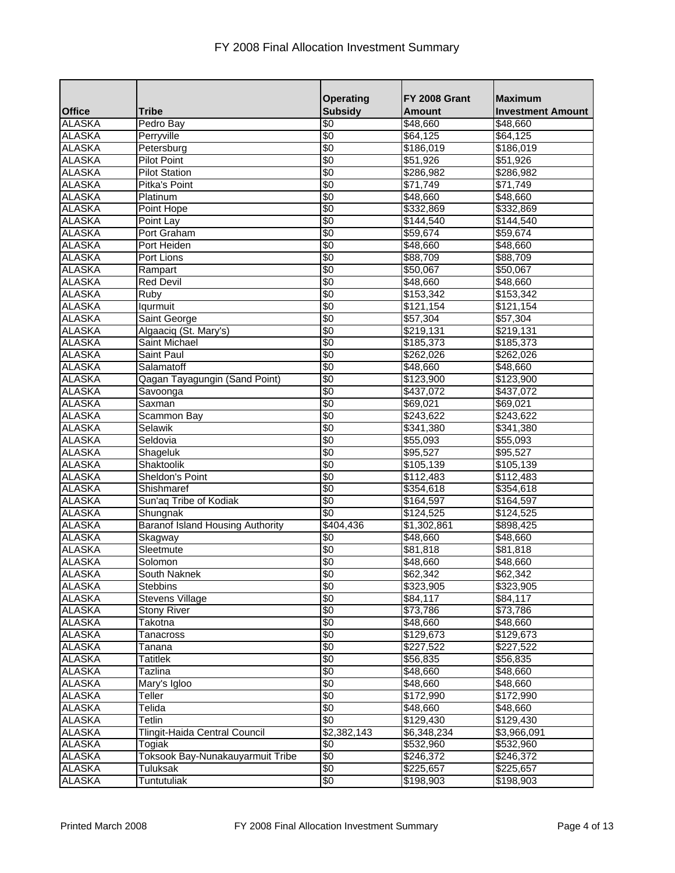|               |                                         | <b>Operating</b>         | FY 2008 Grant        | <b>Maximum</b>           |
|---------------|-----------------------------------------|--------------------------|----------------------|--------------------------|
| <b>Office</b> | <b>Tribe</b>                            | <b>Subsidy</b>           | <b>Amount</b>        | <b>Investment Amount</b> |
| <b>ALASKA</b> | Pedro Bay                               | \$0                      | \$48,660             | \$48,660                 |
| <b>ALASKA</b> | Perryville                              | \$0                      | \$64,125             | \$64,125                 |
| <b>ALASKA</b> | Petersburg                              | $\sqrt{6}$               | \$186,019            | $\frac{1}{186,019}$      |
| <b>ALASKA</b> | <b>Pilot Point</b>                      | $\sqrt[6]{}$             | \$51,926             | \$51,926                 |
| <b>ALASKA</b> | <b>Pilot Station</b>                    | \$0                      | $\sqrt{286,982}$     | \$286,982                |
| <b>ALASKA</b> | Pitka's Point                           | \$0                      | \$71,749             | \$71,749                 |
| <b>ALASKA</b> | Platinum                                | \$0                      | \$48,660             | \$48,660                 |
| <b>ALASKA</b> | Point Hope                              | $\overline{\mathbf{60}}$ | \$332,869            | \$332,869                |
| <b>ALASKA</b> | Point Lay                               | \$0                      | \$144,540            | \$144,540                |
| <b>ALASKA</b> | Port Graham                             | \$0                      | \$59,674             | \$59,674                 |
| <b>ALASKA</b> | Port Heiden                             | \$0                      | \$48,660             | \$48,660                 |
| <b>ALASKA</b> | Port Lions                              | $\frac{1}{3}$            | \$88,709             | \$88,709                 |
| <b>ALASKA</b> | Rampart                                 | \$0                      | \$50,067             | \$50,067                 |
| <b>ALASKA</b> | <b>Red Devil</b>                        | $\sqrt{6}$               | \$48,660             | \$48,660                 |
| <b>ALASKA</b> | Ruby                                    | $\sqrt{6}$               | \$153,342            | \$153,342                |
| <b>ALASKA</b> | Iqurmuit                                | \$0                      | \$121,154            | \$121,154                |
| <b>ALASKA</b> | Saint George                            | $\sqrt[6]{}$             | \$57,304             | \$57,304                 |
| <b>ALASKA</b> | Algaaciq (St. Mary's)                   | \$0                      | \$219,131            | \$219,131                |
| <b>ALASKA</b> | Saint Michael                           | \$0                      | \$185,373            | \$185,373                |
| <b>ALASKA</b> | Saint Paul                              | $\sqrt[6]{}$             | \$262,026            | \$262,026                |
| <b>ALASKA</b> | Salamatoff                              | \$0                      | \$48,660             | \$48,660                 |
| <b>ALASKA</b> | Qagan Tayagungin (Sand Point)           | $\sqrt{6}$               | \$123,900            | \$123,900                |
| <b>ALASKA</b> | Savoonga                                | $\sqrt[6]{}$             | \$437,072            | \$437,072                |
| <b>ALASKA</b> | Saxman                                  | \$0                      | \$69,021             | \$69,021                 |
| <b>ALASKA</b> | <b>Scammon Bay</b>                      | \$0                      | \$243,622            | \$243,622                |
| <b>ALASKA</b> | Selawik                                 | \$0                      | \$341,380            | \$341,380                |
| <b>ALASKA</b> | Seldovia                                | \$0                      | \$55,093             | \$55,093                 |
| <b>ALASKA</b> | Shageluk                                | $\sqrt{6}$               | \$95,527             | \$95,527                 |
| <b>ALASKA</b> | Shaktoolik                              | $\sqrt[6]{}$             | \$105,139            | \$105,139                |
| <b>ALASKA</b> | Sheldon's Point                         | \$0                      | \$112,483            | \$112,483                |
| <b>ALASKA</b> | Shishmaref                              | $\frac{1}{3}$            | \$354,618            | \$354,618                |
| <b>ALASKA</b> | Sun'aq Tribe of Kodiak                  | \$0                      | \$164,597            | \$164,597                |
| <b>ALASKA</b> |                                         | \$0                      |                      |                          |
| <b>ALASKA</b> | Shungnak                                |                          | \$124,525            | \$124,525                |
|               | <b>Baranof Island Housing Authority</b> | \$404,436                | \$1,302,861          | \$898,425                |
| <b>ALASKA</b> | Skagway                                 | $\sqrt[6]{}$             | \$48,660             | \$48,660                 |
| <b>ALASKA</b> | Sleetmute                               | \$0                      | $\overline{$81,818}$ | \$81,818                 |
| <b>ALASKA</b> | Solomon                                 | $\sqrt[6]{30}$           | \$48,660             | \$48,660                 |
| <b>ALASKA</b> | South Naknek                            | $\overline{\$0}$         | \$62,342             | \$62,342                 |
| <b>ALASKA</b> | <b>Stebbins</b>                         | $\frac{1}{3}$            | \$323,905            | \$323,905                |
| <b>ALASKA</b> | <b>Stevens Village</b>                  | \$0                      | \$84,117             | \$84,117                 |
| <b>ALASKA</b> | <b>Stony River</b>                      | \$0                      | \$73,786             | \$73,786                 |
| <b>ALASKA</b> | Takotna                                 | $\frac{1}{6}$            | \$48,660             | \$48,660                 |
| <b>ALASKA</b> | Tanacross                               | \$0                      | \$129,673            | \$129,673                |
| <b>ALASKA</b> | Tanana                                  | \$0                      | \$227,522            | \$227,522                |
| <b>ALASKA</b> | Tatitlek                                | $\frac{1}{3}$            | \$56,835             | \$56,835                 |
| <b>ALASKA</b> | Tazlina                                 | $\frac{1}{6}$            | \$48,660             | \$48,660                 |
| <b>ALASKA</b> | Mary's Igloo                            | $\frac{1}{3}$            | \$48,660             | \$48,660                 |
| <b>ALASKA</b> | Teller                                  | $\frac{1}{3}$            | \$172,990            | \$172,990                |
| <b>ALASKA</b> | Telida                                  | $\frac{1}{6}$            | \$48,660             | \$48,660                 |
| <b>ALASKA</b> | Tetlin                                  | \$0                      | \$129,430            | \$129,430                |
| <b>ALASKA</b> | Tlingit-Haida Central Council           | \$2,382,143              | \$6,348,234          | \$3,966,091              |
| <b>ALASKA</b> | Togiak                                  | \$0                      | \$532,960            | \$532,960                |
| <b>ALASKA</b> | Toksook Bay-Nunakauyarmuit Tribe        | \$0                      | \$246,372            | $\sqrt{246,372}$         |
| <b>ALASKA</b> | Tuluksak                                | $\frac{1}{6}$            | \$225,657            | \$225,657                |
| <b>ALASKA</b> | Tuntutuliak                             | $\frac{1}{3}$            | \$198,903            | \$198,903                |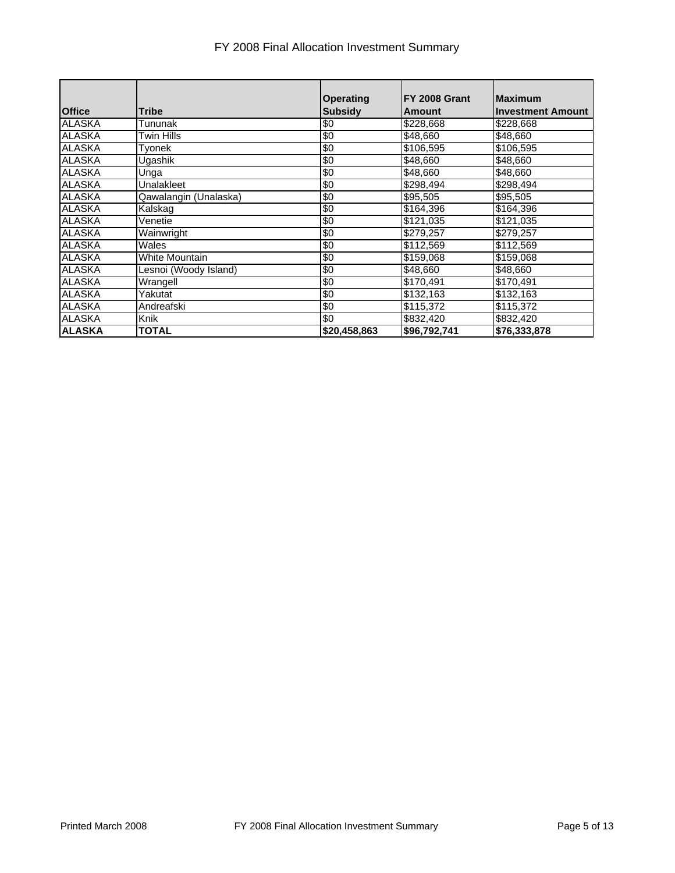## FY 2008 Final Allocation Investment Summary

|               |                       | <b>Operating</b> | FY 2008 Grant | <b>Maximum</b>           |
|---------------|-----------------------|------------------|---------------|--------------------------|
| <b>Office</b> | <b>Tribe</b>          | <b>Subsidy</b>   | Amount        | <b>Investment Amount</b> |
| <b>ALASKA</b> | Tununak               | \$0              | \$228,668     | \$228,668                |
| <b>ALASKA</b> | Twin Hills            | \$0              | \$48,660      | \$48,660                 |
| <b>ALASKA</b> | Tyonek                | \$0              | \$106,595     | \$106,595                |
| <b>ALASKA</b> | Ugashik               | \$0              | \$48,660      | \$48,660                 |
| <b>ALASKA</b> | Unga                  | \$0              | \$48,660      | \$48,660                 |
| <b>ALASKA</b> | <b>Unalakleet</b>     | \$0              | \$298,494     | \$298,494                |
| <b>ALASKA</b> | Qawalangin (Unalaska) | $\frac{1}{20}$   | \$95,505      | \$95,505                 |
| <b>ALASKA</b> | Kalskag               | \$0              | \$164,396     | \$164,396                |
| <b>ALASKA</b> | Venetie               | 9                | \$121,035     | \$121,035                |
| <b>ALASKA</b> | Wainwright            | \$0              | \$279,257     | \$279,257                |
| <b>ALASKA</b> | Wales                 | \$0              | \$112,569     | \$112,569                |
| <b>ALASKA</b> | White Mountain        | \$0              | \$159,068     | \$159,068                |
| <b>ALASKA</b> | Lesnoi (Woody Island) | \$0              | \$48,660      | \$48,660                 |
| <b>ALASKA</b> | Wrangell              | \$0              | \$170,491     | \$170,491                |
| ALASKA        | Yakutat               | \$0              | \$132,163     | \$132,163                |
| <b>ALASKA</b> | Andreafski            | 9                | \$115,372     | \$115,372                |
| <b>ALASKA</b> | Knik                  | \$0              | \$832,420     | \$832,420                |
| <b>ALASKA</b> | <b>TOTAL</b>          | \$20,458,863     | \$96,792,741  | \$76,333,878             |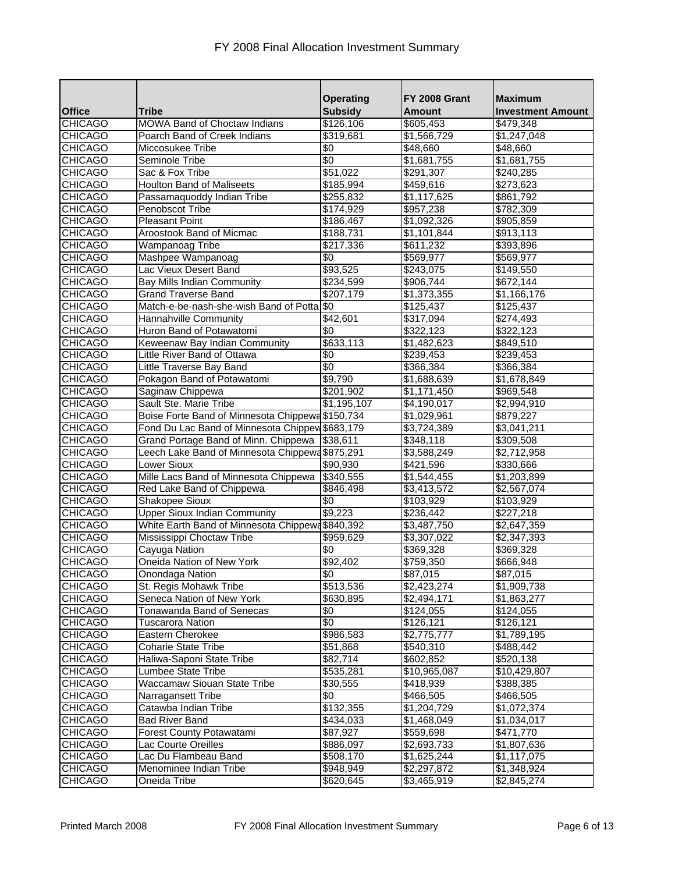|                                  |                                                  | <b>Operating</b>       | FY 2008 Grant              | <b>Maximum</b>             |
|----------------------------------|--------------------------------------------------|------------------------|----------------------------|----------------------------|
| <b>Office</b>                    | <b>Tribe</b>                                     | <b>Subsidy</b>         | <b>Amount</b>              | <b>Investment Amount</b>   |
| <b>CHICAGO</b>                   | <b>MOWA Band of Choctaw Indians</b>              | \$126,106              | \$605,453                  | \$479,348                  |
| <b>CHICAGO</b>                   | Poarch Band of Creek Indians                     | \$319,681              | \$1,566,729                | \$1,247,048                |
| <b>CHICAGO</b>                   | Miccosukee Tribe                                 | \$0                    | \$48,660                   | \$48,660                   |
| <b>CHICAGO</b>                   | Seminole Tribe                                   | \$0                    | \$1,681,755                | \$1,681,755                |
| <b>CHICAGO</b>                   | Sac & Fox Tribe                                  | \$51,022               | \$291,307                  | \$240,285                  |
| <b>CHICAGO</b>                   | <b>Houlton Band of Maliseets</b>                 | \$185,994              | \$459,616                  | \$273,623                  |
| <b>CHICAGO</b>                   | Passamaquoddy Indian Tribe                       | \$255,832              | \$1,117,625                | \$861,792                  |
| <b>CHICAGO</b>                   | Penobscot Tribe                                  | $\sqrt{3174,929}$      | \$957,238                  | \$782,309                  |
| <b>CHICAGO</b>                   | <b>Pleasant Point</b>                            | \$186,467              | \$1,092,326                | \$905,859                  |
| <b>CHICAGO</b>                   | Aroostook Band of Micmac                         | \$188,731              | \$1,101,844                | \$913,113                  |
| <b>CHICAGO</b>                   | Wampanoag Tribe                                  | \$217,336              | \$611,232                  | \$393,896                  |
| <b>CHICAGO</b>                   | Mashpee Wampanoag                                | \$0                    | \$569,977                  | \$569,977                  |
| <b>CHICAGO</b>                   | Lac Vieux Desert Band                            | \$93,525               | \$243,075                  | \$149,550                  |
| <b>CHICAGO</b>                   | Bay Mills Indian Community                       | $\overline{$}234,599$  | \$906,744                  | \$672,144                  |
| <b>CHICAGO</b>                   | <b>Grand Traverse Band</b>                       | \$207,179              | \$1,373,355                | \$1,166,176                |
| <b>CHICAGO</b>                   | Match-e-be-nash-she-wish Band of Potta \$0       |                        | \$125,437                  | \$125,437                  |
| <b>CHICAGO</b>                   | Hannahville Community                            | \$42,601               | \$317,094                  | \$274,493                  |
| <b>CHICAGO</b>                   | Huron Band of Potawatomi                         | \$0                    | \$322,123                  | \$322,123                  |
| <b>CHICAGO</b>                   | Keweenaw Bay Indian Community                    | $\overline{$633,113}$  | \$1,482,623                | \$849,510                  |
| <b>CHICAGO</b>                   | Little River Band of Ottawa                      | \$0                    | \$239,453                  | \$239,453                  |
| <b>CHICAGO</b>                   | Little Traverse Bay Band                         | $\sqrt{6}$             | \$366,384                  | \$366,384                  |
| <b>CHICAGO</b>                   | Pokagon Band of Potawatomi                       | \$9,790                | \$1,688,639                | \$1,678,849                |
| <b>CHICAGO</b>                   | Saginaw Chippewa                                 | \$201,902              | \$1,171,450                | \$969,548                  |
| <b>CHICAGO</b>                   | Sault Ste. Marie Tribe                           | \$1,195,107            | \$4,190,017                | \$2,994,910                |
| <b>CHICAGO</b>                   | Boise Forte Band of Minnesota Chippewa \$150,734 |                        | \$1,029,961                | \$879,227                  |
| <b>CHICAGO</b>                   | Fond Du Lac Band of Minnesota Chippew \$683,179  |                        | \$3,724,389                | \$3,041,211                |
| <b>CHICAGO</b>                   | Grand Portage Band of Minn. Chippewa \$38,611    |                        | \$348,118                  | \$309,508                  |
| <b>CHICAGO</b>                   | Leech Lake Band of Minnesota Chippewa\$875,291   |                        | \$3,588,249                | \$2,712,958                |
| <b>CHICAGO</b>                   | <b>Lower Sioux</b>                               | \$90,930               | \$421,596                  | \$330,666                  |
| <b>CHICAGO</b>                   | Mille Lacs Band of Minnesota Chippewa            | \$340,555              | \$1,544,455                | \$1,203,899                |
| <b>CHICAGO</b>                   | Red Lake Band of Chippewa                        | \$846,498              | \$3,413,572                | \$2,567,074                |
| <b>CHICAGO</b>                   | Shakopee Sioux                                   | \$0                    | \$103,929                  | \$103,929                  |
| <b>CHICAGO</b>                   | <b>Upper Sioux Indian Community</b>              | \$9,223                | \$236,442                  | $\sqrt{227,218}$           |
| <b>CHICAGO</b>                   | White Earth Band of Minnesota Chippewa\$840,392  |                        | \$3,487,750                | \$2,647,359                |
| <b>CHICAGO</b>                   | Mississippi Choctaw Tribe                        | \$959,629              | \$3,307,022                | \$2,347,393                |
| <b>CHICAGO</b>                   | Cayuga Nation                                    | \$0                    | \$369,328                  | \$369,328                  |
| <b>CHICAGO</b>                   | Oneida Nation of New York                        | \$92,402               | \$759,350                  | \$666,948                  |
| <b>CHICAGO</b>                   | Onondaga Nation                                  | \$0                    | \$87,015                   | \$87,015                   |
| <b>CHICAGO</b>                   | St. Regis Mohawk Tribe                           | \$513,536              | \$2,423,274                | \$1,909,738                |
| <b>CHICAGO</b>                   | Seneca Nation of New York                        | \$630,895              | \$2,494,171                | \$1,863,277                |
| <b>CHICAGO</b>                   | Tonawanda Band of Senecas                        | \$0                    | \$124,055                  | \$124,055                  |
| <b>CHICAGO</b>                   | Tuscarora Nation                                 | \$0                    | \$126,121                  | \$126,121                  |
| <b>CHICAGO</b>                   | Eastern Cherokee                                 | \$986,583              | \$2,775,777                | \$1,789,195                |
| <b>CHICAGO</b>                   | <b>Coharie State Tribe</b>                       | \$51,868               | \$540,310                  | \$488,442                  |
| <b>CHICAGO</b>                   | Haliwa-Saponi State Tribe                        | \$82,714               | \$602,852                  | \$520,138                  |
| <b>CHICAGO</b>                   | Lumbee State Tribe                               | \$535,281              | \$10,965,087               | \$10,429,807               |
| <b>CHICAGO</b>                   | Waccamaw Siouan State Tribe                      | \$30,555               | \$418,939                  | \$388,385                  |
| <b>CHICAGO</b>                   | Narragansett Tribe                               | \$0                    | \$466,505                  | \$466,505                  |
| <b>CHICAGO</b>                   | Catawba Indian Tribe                             | \$132,355              | \$1,204,729                | \$1,072,374                |
| <b>CHICAGO</b>                   | <b>Bad River Band</b>                            | \$434,033              | \$1,468,049                | \$1,034,017                |
| <b>CHICAGO</b>                   | Forest County Potawatami                         | \$87,927               | \$559,698                  | \$471,770                  |
| <b>CHICAGO</b>                   | Lac Courte Oreilles                              | \$886,097              | \$2,693,733                | \$1,807,636                |
| <b>CHICAGO</b><br><b>CHICAGO</b> | Lac Du Flambeau Band<br>Menominee Indian Tribe   | \$508,170<br>\$948,949 | \$1,625,244<br>\$2,297,872 | \$1,117,075<br>\$1,348,924 |
| <b>CHICAGO</b>                   | Oneida Tribe                                     |                        |                            |                            |
|                                  |                                                  | \$620,645              | \$3,465,919                | \$2,845,274                |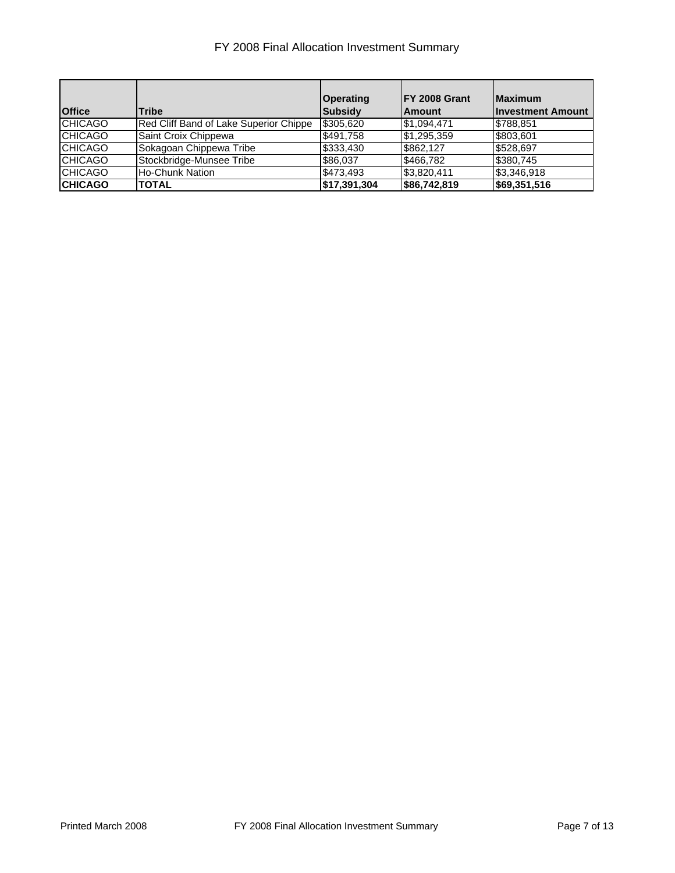## FY 2008 Final Allocation Investment Summary

| <b>Office</b>  | Tribe                                  | Operating<br><b>Subsidy</b> | IFY 2008 Grant<br><b>Amount</b> | <b>Maximum</b><br><b>Investment Amount</b> |
|----------------|----------------------------------------|-----------------------------|---------------------------------|--------------------------------------------|
| <b>CHICAGO</b> | Red Cliff Band of Lake Superior Chippe | \$305,620                   | \$1,094,471                     | \$788,851                                  |
| <b>CHICAGO</b> | Saint Croix Chippewa                   | \$491,758                   | \$1,295,359                     | \$803,601                                  |
| <b>CHICAGO</b> | Sokagoan Chippewa Tribe                | \$333,430                   | \$862,127                       | \$528.697                                  |
| <b>CHICAGO</b> | Stockbridge-Munsee Tribe               | \$86,037                    | \$466,782                       | \$380,745                                  |
| <b>CHICAGO</b> | <b>Ho-Chunk Nation</b>                 | \$473.493                   | \$3,820,411                     | \$3,346,918                                |
| <b>CHICAGO</b> | <b>TOTAL</b>                           | \$17,391,304                | \$86,742,819                    | \$69,351,516                               |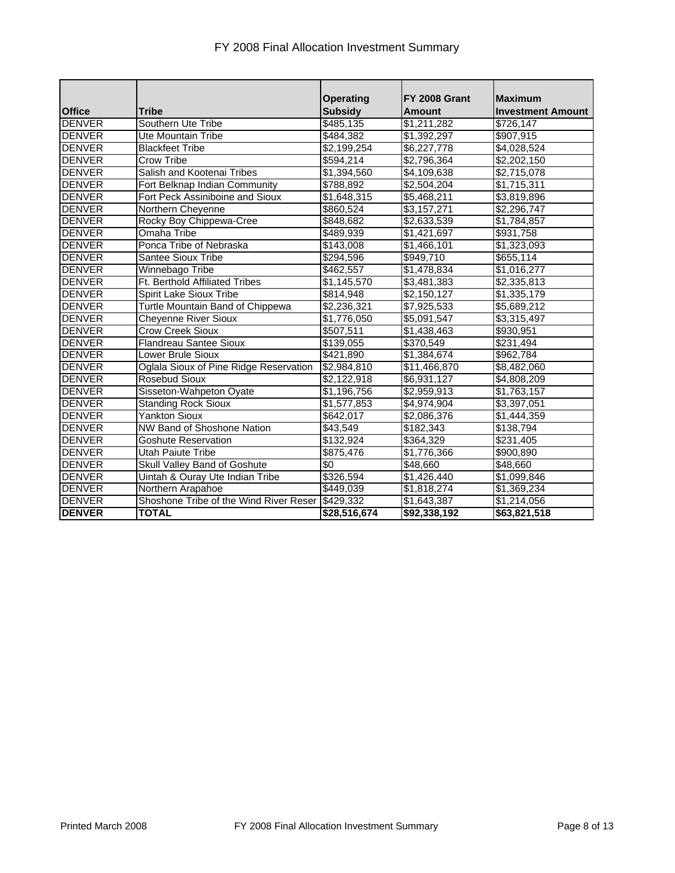| F1 2006 Final Allocation investment Summary |                                        |                                    |                                |                                            |  |
|---------------------------------------------|----------------------------------------|------------------------------------|--------------------------------|--------------------------------------------|--|
| <b>Office</b>                               | <b>Tribe</b>                           | <b>Operating</b><br><b>Subsidy</b> | FY 2008 Grant<br><b>Amount</b> | <b>Maximum</b><br><b>Investment Amount</b> |  |
| <b>DENVER</b>                               | Southern Ute Tribe                     | \$485,135                          | \$1,211,282                    | \$726,147                                  |  |
| <b>DENVER</b>                               | <b>Ute Mountain Tribe</b>              | \$484,382                          | \$1,392,297                    | \$907,915                                  |  |
| <b>DENVER</b>                               | <b>Blackfeet Tribe</b>                 | \$2,199,254                        | \$6,227,778                    | \$4,028,524                                |  |
| <b>DENVER</b>                               | Crow Tribe                             | \$594,214                          | \$2,796,364                    | \$2,202,150                                |  |
| <b>DENVER</b>                               | Salish and Kootenai Tribes             | \$1,394,560                        | \$4,109,638                    | \$2,715,078                                |  |
| <b>DENVER</b>                               | Fort Belknap Indian Community          | \$788,892                          | \$2,504,204                    | \$1,715,311                                |  |
| <b>DENVER</b>                               | Fort Peck Assiniboine and Sioux        | $\sqrt{31,648,315}$                | \$5,468,211                    | \$3,819,896                                |  |
| <b>DENVER</b>                               | Northern Cheyenne                      | \$860,524                          | $\overline{3,}157,271$         | \$2,296,747                                |  |
| <b>DENVER</b>                               | Rocky Boy Chippewa-Cree                | \$848,682                          | \$2,633,539                    | \$1,784,857                                |  |
| <b>DENVER</b>                               | Omaha Tribe                            | \$489,939                          | \$1,421,697                    | \$931,758                                  |  |
| <b>DENVER</b>                               | Ponca Tribe of Nebraska                | \$143,008                          | \$1,466,101                    | \$1,323,093                                |  |
| <b>DENVER</b>                               | Santee Sioux Tribe                     | \$294,596                          | \$949,710                      | \$655,114                                  |  |
| <b>DENVER</b>                               | Winnebago Tribe                        | \$462,557                          | \$1,478,834                    | \$1,016,277                                |  |
| <b>DENVER</b>                               | Ft. Berthold Affiliated Tribes         | \$1,145,570                        | \$3,481,383                    | \$2,335,813                                |  |
| <b>DENVER</b>                               | Spirit Lake Sioux Tribe                | \$814,948                          | \$2,150,127                    | \$1,335,179                                |  |
| <b>DENVER</b>                               | Turtle Mountain Band of Chippewa       | \$2,236,321                        | \$7,925,533                    | \$5,689,212                                |  |
| <b>DENVER</b>                               | <b>Cheyenne River Sioux</b>            | \$1,776,050                        | \$5,091,547                    | \$3,315,497                                |  |
| <b>DENVER</b>                               | <b>Crow Creek Sioux</b>                | \$507,511                          | \$1,438,463                    | \$930,951                                  |  |
| <b>DENVER</b>                               | <b>Flandreau Santee Sioux</b>          | \$139,055                          | \$370,549                      | \$231,494                                  |  |
| <b>DENVER</b>                               | Lower Brule Sioux                      | \$421,890                          | $\overline{31,384,674}$        | \$962,784                                  |  |
| <b>DENVER</b>                               | Oglala Sioux of Pine Ridge Reservation | \$2,984,810                        | \$11,466,870                   | \$8,482,060                                |  |
| <b>DENVER</b>                               | Rosebud Sioux                          | \$2,122,918                        | \$6,931,127                    | \$4,808,209                                |  |

DENVER Sisseton-Wahpeton Oyate \$1,196,756 \$2,959,913 \$1,763,157 DENVER Standing Rock Sioux  $$1,577,853$   $$4,974,904$   $$3,397,051$ DENVER Yankton Sioux \$642,017 \$2,086,376 \$1,444,359 DENVER NW Band of Shoshone Nation \$43,549 \$182,343 \$138,794 DENVER Goshute Reservation \$132,924 \$364,329 \$231,405 DENVER Utah Paiute Tribe \$875,476 \$1,776,366 \$900,890 DENVER Skull Valley Band of Goshute \$0 \$48,660 \$48,660 DENVER Uintah & Ouray Ute Indian Tribe \$326,594 \$1,426,440 \$1,099,846 DENVER Northern Arapahoe \$449,039 \$1,818,274 \$1,369,234 DENVER Shoshone Tribe of the Wind River Reser \$429,332 \$1,643,387 \$1,214,056 **DENVER TOTAL \$28,516,674 \$92,338,192 \$63,821,518**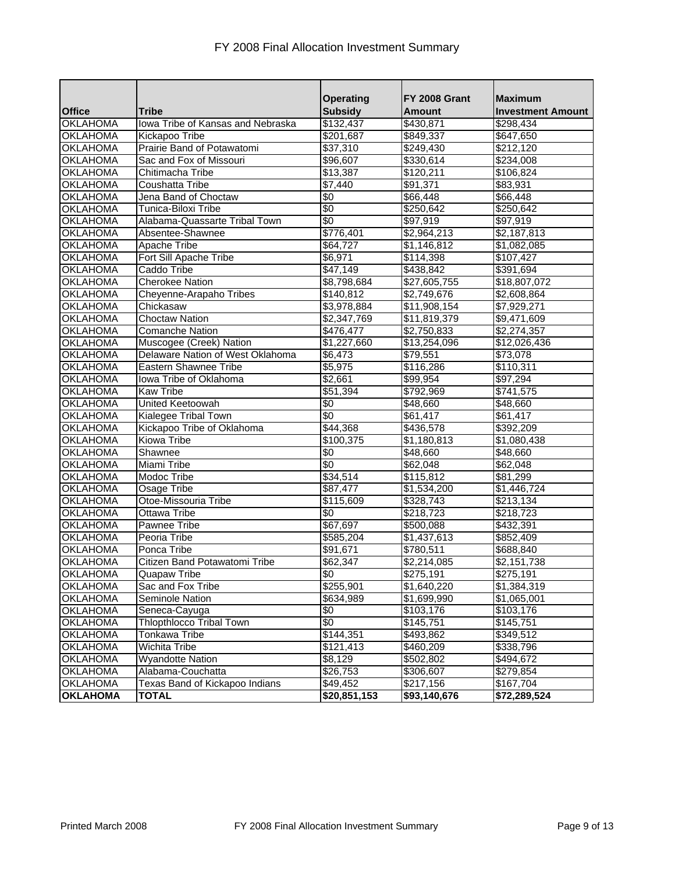|                                  | <b>Tribe</b>                                 | <b>Operating</b><br><b>Subsidy</b> | FY 2008 Grant           | <b>Maximum</b>           |
|----------------------------------|----------------------------------------------|------------------------------------|-------------------------|--------------------------|
| <b>Office</b><br><b>OKLAHOMA</b> |                                              | \$132,437                          | Amount                  | <b>Investment Amount</b> |
|                                  | Iowa Tribe of Kansas and Nebraska            |                                    | \$430,871               | $\sqrt{298,434}$         |
| <b>OKLAHOMA</b>                  | Kickapoo Tribe<br>Prairie Band of Potawatomi | \$201,687                          | \$849,337               | \$647,650                |
| <b>OKLAHOMA</b>                  |                                              | \$37,310                           | \$249,430               | \$212,120                |
| <b>OKLAHOMA</b>                  | Sac and Fox of Missouri                      | \$96,607                           | \$330,614               | \$234,008                |
| <b>OKLAHOMA</b>                  | Chitimacha Tribe                             | \$13,387                           | \$120,211               | \$106,824                |
| <b>OKLAHOMA</b>                  | Coushatta Tribe                              | $\overline{$}7,440$                | \$91,371                | \$83,931                 |
| <b>OKLAHOMA</b>                  | Jena Band of Choctaw                         | \$0                                | \$66,448                | \$66,448                 |
| <b>OKLAHOMA</b>                  | Tunica-Biloxi Tribe                          | \$0                                | \$250,642               | \$250,642                |
| <b>OKLAHOMA</b>                  | Alabama-Quassarte Tribal Town                | \$0                                | \$97,919                | \$97,919                 |
| <b>OKLAHOMA</b>                  | Absentee-Shawnee                             | \$776,401                          | $\overline{$2,964,213}$ | \$2,187,813              |
| <b>OKLAHOMA</b>                  | Apache Tribe                                 | \$64,727                           | \$1,146,812             | \$1,082,085              |
| <b>OKLAHOMA</b>                  | Fort Sill Apache Tribe                       | \$6,971                            | \$114,398               | \$107,427                |
| <b>OKLAHOMA</b>                  | Caddo Tribe                                  | \$47,149                           | \$438,842               | \$391,694                |
| <b>OKLAHOMA</b>                  | <b>Cherokee Nation</b>                       | \$8,798,684                        | \$27,605,755            | \$18,807,072             |
| <b>OKLAHOMA</b>                  | Cheyenne-Arapaho Tribes                      | \$140,812                          | \$2,749,676             | \$2,608,864              |
| <b>OKLAHOMA</b>                  | Chickasaw                                    | \$3,978,884                        | \$11,908,154            | \$7,929,271              |
| <b>OKLAHOMA</b>                  | <b>Choctaw Nation</b>                        | \$2,347,769                        | \$11,819,379            | \$9,471,609              |
| <b>OKLAHOMA</b>                  | <b>Comanche Nation</b>                       | \$476,477                          | \$2,750,833             | \$2,274,357              |
| <b>OKLAHOMA</b>                  | Muscogee (Creek) Nation                      | \$1,227,660                        | \$13,254,096            | \$12,026,436             |
| <b>OKLAHOMA</b>                  | Delaware Nation of West Oklahoma             | \$6.473                            | \$79,551                | \$73,078                 |
| <b>OKLAHOMA</b>                  | <b>Eastern Shawnee Tribe</b>                 | \$5,975                            | \$116,286               | $\overline{$}110,311$    |
| <b>OKLAHOMA</b>                  | Iowa Tribe of Oklahoma                       | $\sqrt{$2,661}$                    | \$99,954                | \$97,294                 |
| <b>OKLAHOMA</b>                  | <b>Kaw Tribe</b>                             | \$51,394                           | \$792,969               | \$741,575                |
| <b>OKLAHOMA</b>                  | <b>United Keetoowah</b>                      | \$0                                | \$48,660                | \$48,660                 |
| <b>OKLAHOMA</b>                  | Kialegee Tribal Town                         | \$0                                | \$61,417                | \$61,417                 |
| <b>OKLAHOMA</b>                  | Kickapoo Tribe of Oklahoma                   | \$44,368                           | \$436,578               | \$392,209                |
| <b>OKLAHOMA</b>                  | Kiowa Tribe                                  | \$100,375                          | \$1,180,813             | \$1,080,438              |
| <b>OKLAHOMA</b>                  | Shawnee                                      | \$0                                | \$48,660                | \$48,660                 |
| <b>OKLAHOMA</b>                  | Miami Tribe                                  | \$0                                | \$62,048                | \$62,048                 |
| <b>OKLAHOMA</b>                  | Modoc Tribe                                  | \$34,514                           | \$115,812               | \$81,299                 |
| <b>OKLAHOMA</b>                  | Osage Tribe                                  | \$87,477                           | \$1,534,200             | \$1,446,724              |
| <b>OKLAHOMA</b>                  | Otoe-Missouria Tribe                         | \$115,609                          | \$328,743               | \$213,134                |
| <b>OKLAHOMA</b>                  | <b>Ottawa Tribe</b>                          | \$0                                | \$218,723               | \$218,723                |
| <b>OKLAHOMA</b>                  | <b>Pawnee Tribe</b>                          | \$67,697                           | \$500,088               | \$432,391                |
| <b>OKLAHOMA</b>                  | Peoria Tribe                                 | \$585,204                          | \$1,437,613             | \$852,409                |
| <b>OKLAHOMA</b>                  | Ponca Tribe                                  | \$91,671                           | \$780,511               | \$688,840                |
| <b>OKLAHOMA</b>                  | Citizen Band Potawatomi Tribe                | \$62,347                           | \$2,214,085             | \$2,151,738              |
| <b>OKLAHOMA</b>                  | <b>Quapaw Tribe</b>                          | ΨU                                 | \$275,191               | \$275,191                |
| <b>OKLAHOMA</b>                  | Sac and Fox Tribe                            | \$255,901                          | \$1,640,220             | \$1,384,319              |
| <b>OKLAHOMA</b>                  | Seminole Nation                              | \$634,989                          | \$1,699,990             | \$1,065,001              |
| <b>OKLAHOMA</b>                  | Seneca-Cayuga                                | \$0                                | \$103,176               | \$103,176                |
| <b>OKLAHOMA</b>                  | <b>Thlopthlocco Tribal Town</b>              | \$0                                | \$145,751               | \$145,751                |
| <b>OKLAHOMA</b>                  | <b>Tonkawa Tribe</b>                         | \$144,351                          | \$493,862               | \$349,512                |
| <b>OKLAHOMA</b>                  | Wichita Tribe                                | \$121,413                          | \$460,209               | \$338,796                |
| <b>OKLAHOMA</b>                  | <b>Wyandotte Nation</b>                      | \$8,129                            | \$502,802               | \$494,672                |
| <b>OKLAHOMA</b>                  | Alabama-Couchatta                            | \$26,753                           | \$306,607               | \$279,854                |
| <b>OKLAHOMA</b>                  | Texas Band of Kickapoo Indians               | \$49,452                           | \$217,156               | \$167,704                |
| <b>OKLAHOMA</b>                  | <b>TOTAL</b>                                 | \$20,851,153                       | \$93,140,676            | \$72,289,524             |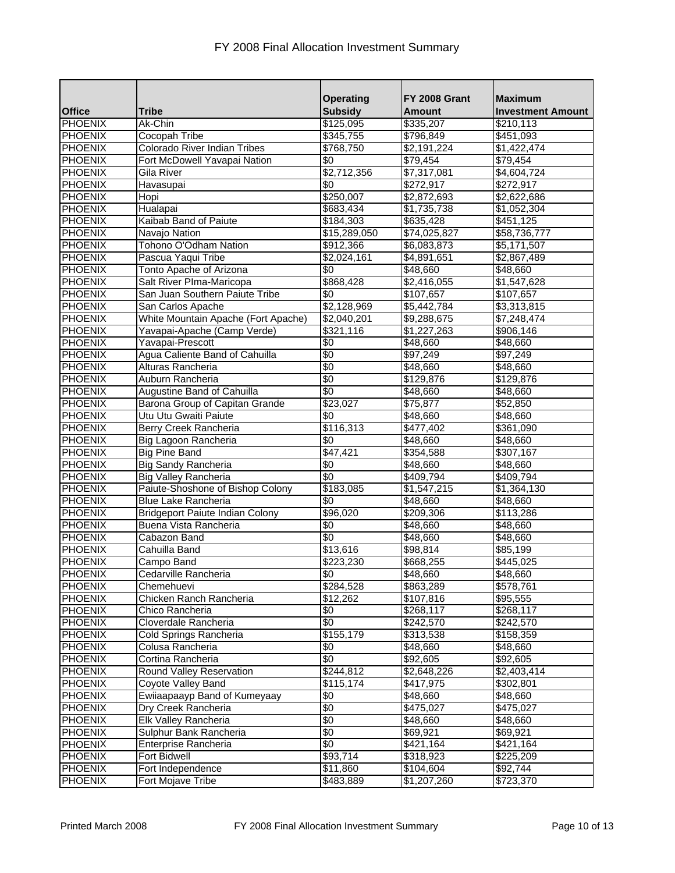|                |                                        | <b>Operating</b>        | FY 2008 Grant | <b>Maximum</b>           |
|----------------|----------------------------------------|-------------------------|---------------|--------------------------|
| <b>Office</b>  | <b>Tribe</b>                           | <b>Subsidy</b>          | <b>Amount</b> | <b>Investment Amount</b> |
| <b>PHOENIX</b> | Ak-Chin                                | \$125,095               | \$335,207     | \$210,113                |
| <b>PHOENIX</b> | <b>Cocopah Tribe</b>                   | \$345,755               | \$796,849     | \$451,093                |
| <b>PHOENIX</b> | Colorado River Indian Tribes           | \$768,750               | \$2,191,224   | \$1,422,474              |
| <b>PHOENIX</b> | Fort McDowell Yavapai Nation           | \$0                     | \$79,454      | \$79,454                 |
| <b>PHOENIX</b> | Gila River                             | \$2,712,356             | \$7,317,081   | \$4,604,724              |
| PHOENIX        | Havasupai                              | \$0                     | \$272,917     | \$272,917                |
| <b>PHOENIX</b> | Hopi                                   | \$250,007               | \$2,872,693   | \$2,622,686              |
| <b>PHOENIX</b> | Hualapai                               | \$683,434               | \$1,735,738   | \$1,052,304              |
| <b>PHOENIX</b> | Kaibab Band of Paiute                  | \$184,303               | \$635,428     | \$451,125                |
| <b>PHOENIX</b> | Navajo Nation                          | \$15,289,050            | \$74,025,827  | \$58,736,777             |
| <b>PHOENIX</b> | Tohono O'Odham Nation                  | \$912,366               | \$6,083,873   | \$5,171,507              |
| <b>PHOENIX</b> | Pascua Yaqui Tribe                     | \$2,024,161             | \$4,891,651   | \$2,867,489              |
| <b>PHOENIX</b> | Tonto Apache of Arizona                | \$0                     | \$48,660      | \$48,660                 |
| <b>PHOENIX</b> | Salt River Plma-Maricopa               | \$868,428               | \$2,416,055   | \$1,547,628              |
| <b>PHOENIX</b> | San Juan Southern Paiute Tribe         | \$0                     | \$107,657     | \$107,657                |
| <b>PHOENIX</b> | San Carlos Apache                      | \$2,128,969             | \$5,442,784   | \$3,313,815              |
| <b>PHOENIX</b> | White Mountain Apache (Fort Apache)    | $\overline{$2,040,201}$ | \$9,288,675   | \$7,248,474              |
| <b>PHOENIX</b> | Yavapai-Apache (Camp Verde)            | \$321,116               | \$1,227,263   | \$906,146                |
| <b>PHOENIX</b> | Yavapai-Prescott                       | \$0                     | \$48,660      | \$48,660                 |
| <b>PHOENIX</b> | Agua Caliente Band of Cahuilla         | \$0                     | \$97,249      | \$97,249                 |
| <b>PHOENIX</b> | Alturas Rancheria                      | $\sqrt{6}$              | \$48,660      | \$48,660                 |
| <b>PHOENIX</b> | Auburn Rancheria                       | \$0                     | \$129,876     | \$129,876                |
| <b>PHOENIX</b> | Augustine Band of Cahuilla             | \$0                     | \$48,660      | \$48,660                 |
| <b>PHOENIX</b> | Barona Group of Capitan Grande         | \$23,027                | \$75,877      | \$52,850                 |
| <b>PHOENIX</b> | Utu Utu Gwaiti Paiute                  | \$0                     | \$48,660      | \$48,660                 |
| <b>PHOENIX</b> | Berry Creek Rancheria                  | \$116,313               | \$477,402     | \$361,090                |
| <b>PHOENIX</b> | Big Lagoon Rancheria                   | \$0                     | \$48,660      | \$48,660                 |
| <b>PHOENIX</b> | <b>Big Pine Band</b>                   | \$47,421                | \$354,588     | \$307,167                |
| <b>PHOENIX</b> | <b>Big Sandy Rancheria</b>             | \$0                     | \$48,660      | \$48,660                 |
| <b>PHOENIX</b> | <b>Big Valley Rancheria</b>            | \$0                     | \$409,794     | \$409,794                |
| PHOENIX        | Paiute-Shoshone of Bishop Colony       | \$183,085               | \$1,547,215   | \$1,364,130              |
| <b>PHOENIX</b> | <b>Blue Lake Rancheria</b>             | \$0                     | \$48,660      | \$48,660                 |
| <b>PHOENIX</b> | <b>Bridgeport Paiute Indian Colony</b> | \$96,020                | \$209,306     | \$113,286                |
| <b>PHOENIX</b> | Buena Vista Rancheria                  | \$0                     | \$48,660      | \$48,660                 |
| <b>PHOENIX</b> | Cabazon Band                           | \$0                     | \$48,660      | \$48,660                 |
| <b>PHOENIX</b> | Cahuilla Band                          | \$13,616                | \$98,814      | \$85,199                 |
| <b>PHOENIX</b> | Campo Band                             | \$223,230               | \$668,255     | \$445,025                |
| <b>PHOENIX</b> | Cedarville Rancheria                   | \$0                     | \$48,660      | \$48,660                 |
| <b>PHOENIX</b> | Chemehuevi                             | \$284,528               | \$863,289     | \$578,761                |
| <b>PHOENIX</b> | Chicken Ranch Rancheria                | \$12,262                | \$107,816     | \$95,555                 |
| <b>PHOENIX</b> | Chico Rancheria                        | \$0                     | \$268,117     | \$268,117                |
| <b>PHOENIX</b> | Cloverdale Rancheria                   | \$0                     | \$242,570     | \$242,570                |
| <b>PHOENIX</b> | Cold Springs Rancheria                 | \$155, 179              | \$313,538     | \$158,359                |
| <b>PHOENIX</b> | Colusa Rancheria                       | \$0                     | \$48,660      | \$48,660                 |
| <b>PHOENIX</b> | Cortina Rancheria                      | \$0                     | \$92,605      | \$92,605                 |
| <b>PHOENIX</b> | Round Valley Reservation               | \$244,812               | \$2,648,226   | \$2,403,414              |
| <b>PHOENIX</b> | Coyote Valley Band                     | \$115,174               | \$417,975     | \$302,801                |
| <b>PHOENIX</b> | Ewiiaapaayp Band of Kumeyaay           | \$0                     | \$48,660      | \$48,660                 |
| <b>PHOENIX</b> | Dry Creek Rancheria                    | \$0                     | \$475,027     | \$475,027                |
| <b>PHOENIX</b> | Elk Valley Rancheria                   | $\frac{1}{30}$          | \$48,660      | \$48,660                 |
| <b>PHOENIX</b> | Sulphur Bank Rancheria                 | \$0                     | \$69,921      | \$69,921                 |
| <b>PHOENIX</b> | Enterprise Rancheria                   | \$0                     | \$421,164     | \$421,164                |
| <b>PHOENIX</b> | <b>Fort Bidwell</b>                    | \$93,714                | \$318,923     | \$225,209                |
| <b>PHOENIX</b> | Fort Independence                      | \$11,860                | \$104,604     | \$92,744                 |
| <b>PHOENIX</b> | Fort Mojave Tribe                      | \$483,889               | \$1,207,260   | \$723,370                |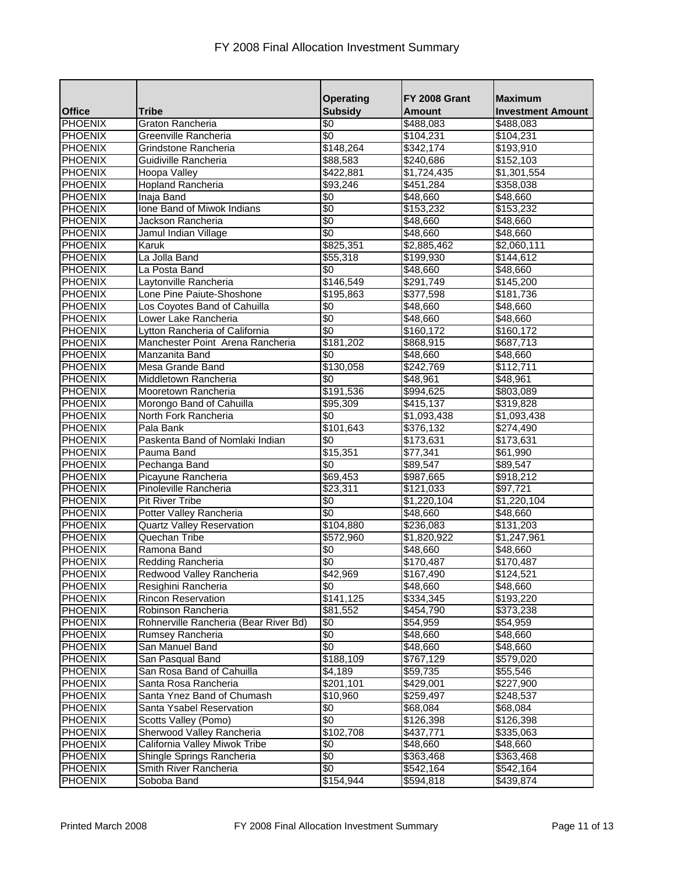|                                  |                                       | <b>Operating</b>      | FY 2008 Grant         | <b>Maximum</b>           |
|----------------------------------|---------------------------------------|-----------------------|-----------------------|--------------------------|
| <b>Office</b>                    | <b>Tribe</b>                          | <b>Subsidy</b>        | <b>Amount</b>         | <b>Investment Amount</b> |
| <b>PHOENIX</b>                   | Graton Rancheria                      | \$0                   | \$488,083             | \$488,083                |
| <b>PHOENIX</b>                   | Greenville Rancheria                  | \$0                   | \$104,231             | \$104,231                |
| <b>PHOENIX</b>                   | Grindstone Rancheria                  | \$148,264             | \$342,174             | \$193,910                |
| <b>PHOENIX</b>                   | Guidiville Rancheria                  | \$88,583              | \$240,686             | \$152,103                |
| <b>PHOENIX</b>                   | Hoopa Valley<br>Hopland Rancheria     | \$422,881             | \$1,724,435           | \$1,301,554              |
| <b>PHOENIX</b><br><b>PHOENIX</b> | Inaja Band                            | \$93,246<br>\$0       | \$451,284<br>\$48,660 | \$358,038<br>\$48,660    |
| <b>PHOENIX</b>                   | Ione Band of Miwok Indians            | $\sqrt[6]{30}$        | \$153,232             | \$153,232                |
| <b>PHOENIX</b>                   | Jackson Rancheria                     | \$0                   | \$48,660              | \$48,660                 |
| PHOENIX                          | Jamul Indian Village                  | \$0                   | \$48,660              | \$48,660                 |
| <b>PHOENIX</b>                   | Karuk                                 | \$825,351             | \$2,885,462           | \$2,060,111              |
| <b>PHOENIX</b>                   | La Jolla Band                         | \$55,318              | \$199,930             | \$144,612                |
| <b>PHOENIX</b>                   | La Posta Band                         | \$0                   | $\sqrt{3}48,660$      | \$48,660                 |
| <b>PHOENIX</b>                   | Laytonville Rancheria                 | \$146,549             | \$291,749             | \$145,200                |
| <b>PHOENIX</b>                   | Lone Pine Paiute-Shoshone             | \$195,863             | \$377,598             | \$181,736                |
| <b>PHOENIX</b>                   | Los Coyotes Band of Cahuilla          | \$0                   | \$48,660              | \$48,660                 |
| <b>PHOENIX</b>                   | Lower Lake Rancheria                  | \$0                   | \$48,660              | \$48,660                 |
| <b>PHOENIX</b>                   | Lytton Rancheria of California        | \$0                   | \$160,172             | \$160,172                |
| <b>PHOENIX</b>                   | Manchester Point Arena Rancheria      | $\sqrt{3181,202}$     | \$868,915             | \$687,713                |
| <b>PHOENIX</b>                   | Manzanita Band                        | \$0                   | \$48,660              | \$48,660                 |
| <b>PHOENIX</b>                   | Mesa Grande Band                      | $\overline{$}130,058$ | \$242,769             | \$112,711                |
| <b>PHOENIX</b>                   | Middletown Rancheria                  | \$0                   | \$48,961              | \$48,961                 |
| <b>PHOENIX</b>                   | Mooretown Rancheria                   | \$191,536             | \$994,625             | \$803,089                |
| <b>PHOENIX</b>                   | Morongo Band of Cahuilla              | \$95,309              | \$415,137             | \$319,828                |
| <b>PHOENIX</b>                   | North Fork Rancheria                  | <b>SO</b>             | \$1,093,438           | \$1,093,438              |
| <b>PHOENIX</b>                   | Pala Bank                             | \$101,643             | \$376,132             | \$274,490                |
| <b>PHOENIX</b>                   | Paskenta Band of Nomlaki Indian       | \$0                   | \$173,631             | \$173,631                |
| <b>PHOENIX</b>                   | Pauma Band                            | \$15,351              | \$77,341              | \$61,990                 |
| <b>PHOENIX</b>                   | Pechanga Band                         | \$0                   | \$89,547              | \$89,547                 |
| <b>PHOENIX</b>                   | Picayune Rancheria                    | \$69,453              | \$987,665             | \$918,212                |
| <b>PHOENIX</b>                   | Pinoleville Rancheria                 | \$23,311              | \$121,033             | \$97,721                 |
| <b>PHOENIX</b>                   | <b>Pit River Tribe</b>                | \$0                   | \$1,220,104           | \$1,220,104              |
| <b>PHOENIX</b>                   | Potter Valley Rancheria               | \$0                   | \$48,660              | \$48,660                 |
| <b>PHOENIX</b>                   | <b>Quartz Valley Reservation</b>      | \$104,880             | \$236,083             | \$131,203                |
| <b>PHOENIX</b>                   | Quechan Tribe                         | \$572,960             | \$1,820,922           | \$1,247,961              |
| <b>PHOENIX</b>                   | Ramona Band                           | \$0                   | \$48,660              | \$48,660                 |
| PHOENIX                          | Redding Rancheria                     | \$0                   | \$170,487             | \$170.487                |
| <b>PHOENIX</b>                   | Redwood Valley Rancheria              | \$42,969              | \$167,490             | \$124,521                |
| <b>PHOENIX</b>                   | Resighini Rancheria                   | \$0                   | \$48,660              | \$48,660                 |
| <b>PHOENIX</b>                   | <b>Rincon Reservation</b>             | \$141,125             | 3334,345              | \$193,220                |
| <b>PHOENIX</b>                   | Robinson Rancheria                    | \$81,552              | \$454,790             | \$373,238                |
| <b>PHOENIX</b>                   | Rohnerville Rancheria (Bear River Bd) | \$0                   | \$54,959              | \$54,959                 |
| <b>PHOENIX</b>                   | Rumsey Rancheria                      | \$0                   | \$48,660              | \$48,660                 |
| <b>PHOENIX</b>                   | San Manuel Band                       | $\frac{1}{3}$         | \$48,660              | \$48,660                 |
| <b>PHOENIX</b>                   | San Pasqual Band                      | \$188,109             | \$767,129             | \$579,020                |
| <b>PHOENIX</b>                   | San Rosa Band of Cahuilla             | \$4,189               | \$59,735              | \$55,546                 |
| <b>PHOENIX</b>                   | Santa Rosa Rancheria                  | \$201,101             | \$429,001             | \$227,900                |
| <b>PHOENIX</b>                   | Santa Ynez Band of Chumash            | \$10,960              | \$259,497             | \$248,537                |
| <b>PHOENIX</b>                   | Santa Ysabel Reservation              | \$0                   | \$68,084              | \$68,084                 |
| <b>PHOENIX</b>                   | Scotts Valley (Pomo)                  | $\frac{1}{3}$         | \$126,398             | \$126,398                |
| <b>PHOENIX</b>                   | Sherwood Valley Rancheria             | \$102,708             | \$437,771             | \$335,063                |
| <b>PHOENIX</b>                   | California Valley Miwok Tribe         | \$0                   | \$48,660              | \$48,660                 |
| <b>PHOENIX</b>                   | Shingle Springs Rancheria             | \$0                   | \$363,468             | \$363,468                |
| <b>PHOENIX</b>                   | Smith River Rancheria                 | \$0                   | \$542,164             | \$542,164                |
| <b>PHOENIX</b>                   | Soboba Band                           | \$154,944             | \$594,818             | \$439,874                |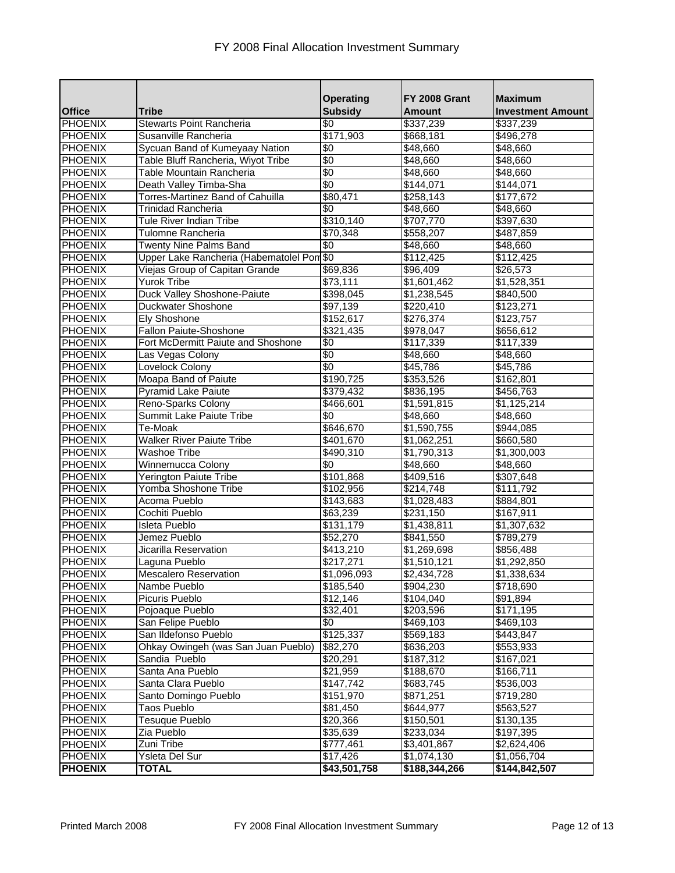|                |                                           | <b>Operating</b> | FY 2008 Grant          | <b>Maximum</b>           |
|----------------|-------------------------------------------|------------------|------------------------|--------------------------|
| <b>Office</b>  | <b>Tribe</b>                              | <b>Subsidy</b>   | <b>Amount</b>          | <b>Investment Amount</b> |
| <b>PHOENIX</b> | <b>Stewarts Point Rancheria</b>           | \$0              | \$337,239              | \$337,239                |
| <b>PHOENIX</b> | Susanville Rancheria                      | \$171,903        | \$668,181              | \$496,278                |
| <b>PHOENIX</b> | Sycuan Band of Kumeyaay Nation            | \$0              | \$48,660               | \$48,660                 |
| <b>PHOENIX</b> | Table Bluff Rancheria, Wiyot Tribe        | $\sqrt{6}$       | $\overline{$48,660}$   | \$48,660                 |
| <b>PHOENIX</b> | Table Mountain Rancheria                  | $\sqrt[6]{30}$   | \$48,660               | \$48,660                 |
| <b>PHOENIX</b> | Death Valley Timba-Sha                    | $\sqrt{6}$       | \$144,071              | \$144,071                |
| <b>PHOENIX</b> | Torres-Martinez Band of Cahuilla          | \$80,471         | \$258,143              | \$177,672                |
| <b>PHOENIX</b> | <b>Trinidad Rancheria</b>                 | \$0              | \$48,660               | \$48,660                 |
| <b>PHOENIX</b> | Tule River Indian Tribe                   | \$310,140        | \$707,770              | \$397,630                |
| <b>PHOENIX</b> | Tulomne Rancheria                         | \$70,348         | \$558,207              | \$487,859                |
| <b>PHOENIX</b> | <b>Twenty Nine Palms Band</b>             | \$0              | \$48,660               | \$48,660                 |
| <b>PHOENIX</b> | Upper Lake Rancheria (Habematolel Pom \$0 |                  | \$112,425              | \$112,425                |
| <b>PHOENIX</b> | Viejas Group of Capitan Grande            | \$69,836         | \$96,409               | \$26,573                 |
| <b>PHOENIX</b> | Yurok Tribe                               | \$73,111         | \$1,601,462            | \$1,528,351              |
| <b>PHOENIX</b> | Duck Valley Shoshone-Paiute               | \$398,045        | \$1,238,545            | \$840,500                |
| <b>PHOENIX</b> | <b>Duckwater Shoshone</b>                 | \$97,139         | \$220,410              | \$123,271                |
| <b>PHOENIX</b> | <b>Ely Shoshone</b>                       | \$152, 617       | \$276,374              | \$123,757                |
| PHOENIX        | Fallon Paiute-Shoshone                    | \$321,435        | \$978,047              | \$656,612                |
| <b>PHOENIX</b> | Fort McDermitt Paiute and Shoshone        | \$0              | \$117,339              | \$117,339                |
| <b>PHOENIX</b> | Las Vegas Colony                          | $\overline{50}$  | \$48,660               | \$48,660                 |
| <b>PHOENIX</b> | Lovelock Colony                           | \$0              | \$45,786               | \$45,786                 |
| <b>PHOENIX</b> | Moapa Band of Paiute                      | \$190,725        | \$353,526              | \$162,801                |
| <b>PHOENIX</b> | <b>Pyramid Lake Paiute</b>                | \$379,432        | \$836,195              | \$456,763                |
| <b>PHOENIX</b> | Reno-Sparks Colony                        | \$466,601        | \$1,591,815            | \$1,125,214              |
| <b>PHOENIX</b> | Summit Lake Paiute Tribe                  | \$0              | \$48,660               | \$48,660                 |
| <b>PHOENIX</b> | Te-Moak                                   | \$646,670        | \$1,590,755            | \$944,085                |
| <b>PHOENIX</b> | <b>Walker River Paiute Tribe</b>          | \$401,670        | \$1,062,251            | \$660,580                |
| <b>PHOENIX</b> | <b>Washoe Tribe</b>                       | \$490,310        | \$1,790,313            | \$1,300,003              |
| <b>PHOENIX</b> | Winnemucca Colony                         | \$0              | \$48,660               | \$48,660                 |
| <b>PHOENIX</b> | Yerington Paiute Tribe                    | \$101,868        | \$409,516              | \$307,648                |
| <b>PHOENIX</b> | Yomba Shoshone Tribe                      | \$102,956        | \$214,748              | \$111,792                |
| <b>PHOENIX</b> | Acoma Pueblo                              | \$143,683        | $\overline{1,028,483}$ | \$884,801                |
| <b>PHOENIX</b> | Cochiti Pueblo                            | \$63,239         | \$231,150              | \$167,911                |
| <b>PHOENIX</b> | Isleta Pueblo                             | \$131,179        | \$1,438,811            | \$1,307,632              |
| <b>PHOENIX</b> | Jemez Pueblo                              | \$52,270         | \$841,550              | \$789,279                |
| <b>PHOENIX</b> | Jicarilla Reservation                     | \$413,210        | \$1,269,698            | \$856,488                |
| <b>PHOENIX</b> | Laguna Pueblo                             | \$217,271        | \$1,510,121            | \$1,292,850              |
| <b>PHOENIX</b> | <b>Mescalero Reservation</b>              | \$1,096,093      | \$2,434,728            | \$1,338,634              |
| <b>PHOENIX</b> | Nambe Pueblo                              | \$185,540        | \$904,230              | \$718,690                |
| <b>PHOENIX</b> | Picuris Pueblo                            | \$12,146         | \$104,040              | \$91,894                 |
| <b>PHOENIX</b> | Pojoaque Pueblo                           | \$32,401         | \$203,596              | \$171,195                |
| <b>PHOENIX</b> | San Felipe Pueblo                         | \$0              | \$469,103              | \$469,103                |
| <b>PHOENIX</b> | San Ildefonso Pueblo                      | \$125,337        | \$569,183              | \$443,847                |
| <b>PHOENIX</b> | Ohkay Owingeh (was San Juan Pueblo)       | \$82,270         | \$636,203              | \$553,933                |
| <b>PHOENIX</b> | Sandia Pueblo                             | \$20,291         | \$187,312              | \$167,021                |
| <b>PHOENIX</b> | Santa Ana Pueblo                          | \$21,959         | \$188,670              | \$166,711                |
| <b>PHOENIX</b> | Santa Clara Pueblo                        | \$147,742        | \$683,745              | \$536,003                |
| <b>PHOENIX</b> | Santo Domingo Pueblo                      | \$151,970        | \$871,251              | \$719,280                |
| <b>PHOENIX</b> | Taos Pueblo                               | \$81,450         | \$644,977              | \$563,527                |
| PHOENIX        | Tesuque Pueblo                            | \$20,366         | \$150,501              | \$130,135                |
| <b>PHOENIX</b> | Zia Pueblo                                | \$35,639         | \$233,034              | \$197,395                |
| <b>PHOENIX</b> | Zuni Tribe                                | \$777,461        | \$3,401,867            | \$2,624,406              |
| <b>PHOENIX</b> | Ysleta Del Sur                            | $\sqrt{$17,426}$ | \$1,074,130            | \$1,056,704              |
| <b>PHOENIX</b> | <b>TOTAL</b>                              | \$43,501,758     | \$188,344,266          | \$144,842,507            |